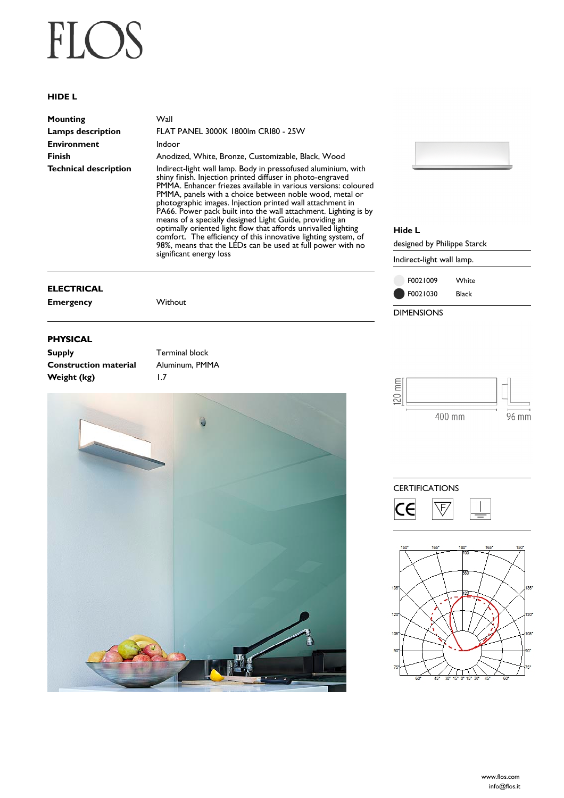# FLOS

### **HIDE L**

| Mounting              | Wall                                                                                                                                                                                                                                                     |  |
|-----------------------|----------------------------------------------------------------------------------------------------------------------------------------------------------------------------------------------------------------------------------------------------------|--|
| Lamps description     | <b>FLAT PANEL 3000K 1800Im CRI80 - 25W</b>                                                                                                                                                                                                               |  |
| <b>Environment</b>    | Indoor                                                                                                                                                                                                                                                   |  |
| Finish                | Anodized, White, Bronze, Customizable, Black, Wood                                                                                                                                                                                                       |  |
| Technical description | Indirect-light wall lamp. Body in pressofused aluminium, with<br>shiny finish. Injection printed diffuser in photo-engraved<br>PMMA. Enhancer friezes available in various versions: coloured<br>PMMA, panels with a choice between noble wood, metal or |  |

photographic images. Injection printed wall attachment in PA66. Power pack built into the wall attachment. Lighting is by means of a specially designed Light Guide, providing an optimally oriented light flow that affords unrivalled lighting comfort. The efficiency of this innovative lighting system, of 98%, means that the LEDs can be used at full power with no significant energy loss

# **ELECTRICAL**

**Emergency** Without

### **PHYSICAL**

| <b>Supply</b>                | Terminal block |
|------------------------------|----------------|
| <b>Construction material</b> | Aluminum, PMMA |
| Weight (kg)                  | $\overline{1}$ |





## **Hide L**

designed by Philippe Starck

Indirect-light wall lamp.



 $\mathop{\mathsf{f\mathbb{R}}}\limits^{\mathbb{C}}$ **20** 400 mm  $96 \text{ mm}$ 



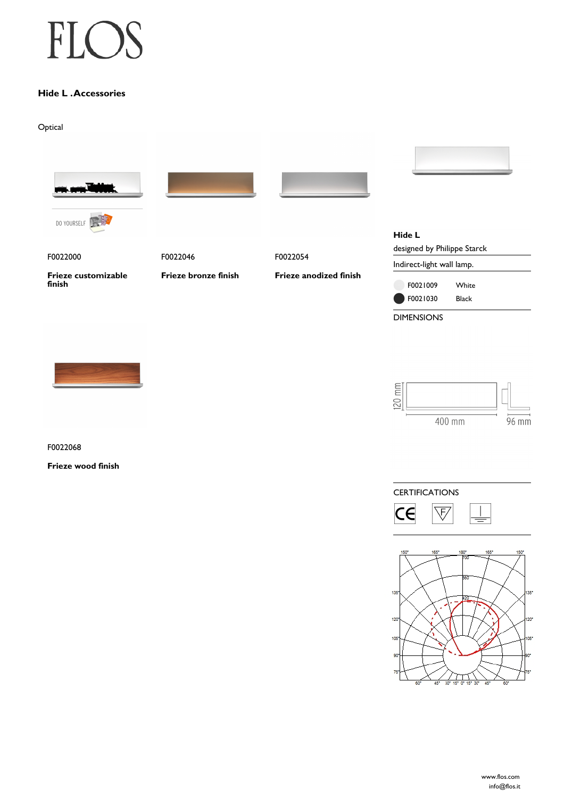# F  $\left( \begin{array}{c} \end{array} \right)$

# **Hide L . Accessories**

Optical



F0022068

**Frieze wood finish**

400 mm  $96 \text{ mm}$ 

20